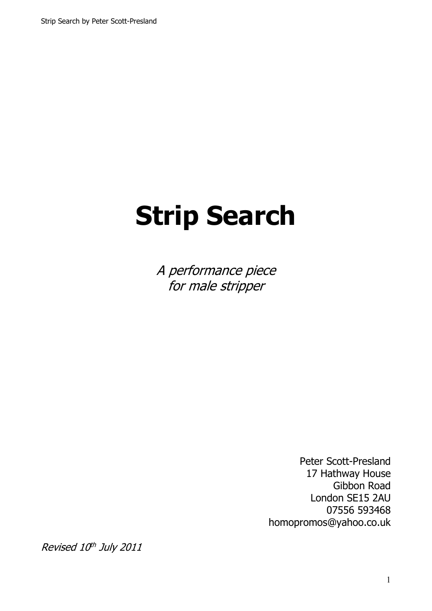Strip Search by Peter Scott-Presland

# **Strip Search**

A performance piece for male stripper

> Peter Scott-Presland 17 Hathway House Gibbon Road London SE15 2AU 07556 593468 [homopromos@yahoo.co.uk](mailto:homopromos@yahoo.co.uk)

Revised 10th July 2011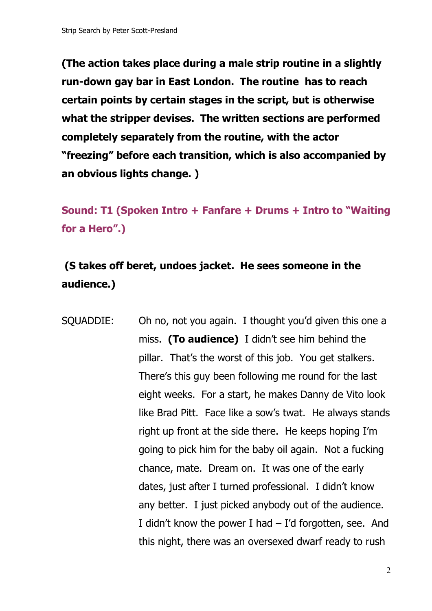**(The action takes place during a male strip routine in a slightly run-down gay bar in East London. The routine has to reach certain points by certain stages in the script, but is otherwise what the stripper devises. The written sections are performed completely separately from the routine, with the actor "freezing" before each transition, which is also accompanied by an obvious lights change. )**

**Sound: T1 (Spoken Intro + Fanfare + Drums + Intro to "Waiting for a Hero".)**

# **(S takes off beret, undoes jacket. He sees someone in the audience.)**

SQUADDIE: Oh no, not you again. I thought you'd given this one a miss. **(To audience)** I didn't see him behind the pillar. That's the worst of this job. You get stalkers. There's this guy been following me round for the last eight weeks. For a start, he makes Danny de Vito look like Brad Pitt. Face like a sow's twat. He always stands right up front at the side there. He keeps hoping I'm going to pick him for the baby oil again. Not a fucking chance, mate. Dream on. It was one of the early dates, just after I turned professional. I didn't know any better. I just picked anybody out of the audience. I didn't know the power I had  $-$  I'd forgotten, see. And this night, there was an oversexed dwarf ready to rush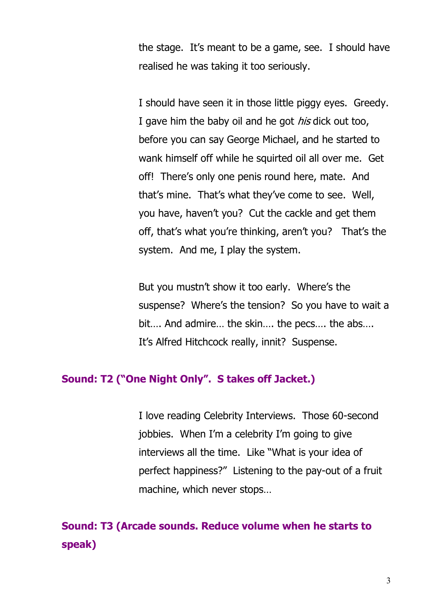the stage. It's meant to be a game, see. I should have realised he was taking it too seriously.

I should have seen it in those little piggy eyes. Greedy. I gave him the baby oil and he got *his* dick out too, before you can say George Michael, and he started to wank himself off while he squirted oil all over me. Get off! There's only one penis round here, mate. And that's mine. That's what they've come to see. Well, you have, haven't you? Cut the cackle and get them off, that's what you're thinking, aren't you? That's the system. And me, I play the system.

But you mustn't show it too early. Where's the suspense? Where's the tension? So you have to wait a bit…. And admire… the skin…. the pecs…. the abs…. It's Alfred Hitchcock really, innit? Suspense.

# **Sound: T2 ("One Night Only". S takes off Jacket.)**

I love reading Celebrity Interviews. Those 60-second jobbies. When I'm a celebrity I'm going to give interviews all the time. Like "What is your idea of perfect happiness?" Listening to the pay-out of a fruit machine, which never stops…

# **Sound: T3 (Arcade sounds. Reduce volume when he starts to speak)**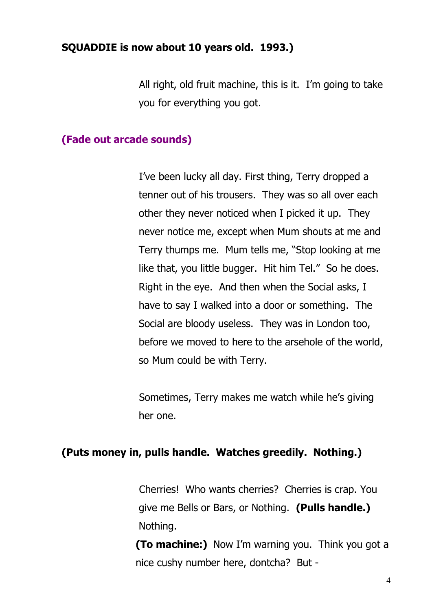# **SQUADDIE is now about 10 years old. 1993.)**

All right, old fruit machine, this is it. I'm going to take you for everything you got.

# **(Fade out arcade sounds)**

I've been lucky all day. First thing, Terry dropped a tenner out of his trousers. They was so all over each other they never noticed when I picked it up. They never notice me, except when Mum shouts at me and Terry thumps me. Mum tells me, "Stop looking at me like that, you little bugger. Hit him Tel." So he does. Right in the eye. And then when the Social asks, I have to say I walked into a door or something. The Social are bloody useless. They was in London too, before we moved to here to the arsehole of the world, so Mum could be with Terry.

Sometimes, Terry makes me watch while he's giving her one.

#### **(Puts money in, pulls handle. Watches greedily. Nothing.)**

Cherries! Who wants cherries? Cherries is crap. You give me Bells or Bars, or Nothing. **(Pulls handle.)**  Nothing.

**(To machine:)** Now I'm warning you. Think you got a nice cushy number here, dontcha? But -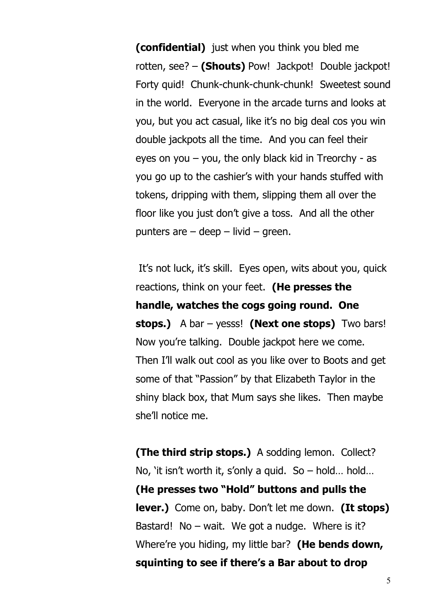**(confidential)** just when you think you bled me rotten, see? – **(Shouts)** Pow! Jackpot! Double jackpot! Forty quid! Chunk-chunk-chunk-chunk! Sweetest sound in the world. Everyone in the arcade turns and looks at you, but you act casual, like it's no big deal cos you win double jackpots all the time. And you can feel their eyes on you  $-$  you, the only black kid in Treorchy  $-$  as you go up to the cashier's with your hands stuffed with tokens, dripping with them, slipping them all over the floor like you just don't give a toss. And all the other punters are  $-$  deep  $-$  livid  $-$  green.

It's not luck, it's skill. Eyes open, wits about you, quick reactions, think on your feet. **(He presses the handle, watches the cogs going round. One stops.)** A bar – yesss! **(Next one stops)** Two bars! Now you're talking. Double jackpot here we come. Then I'll walk out cool as you like over to Boots and get some of that "Passion" by that Elizabeth Taylor in the shiny black box, that Mum says she likes. Then maybe she'll notice me.

**(The third strip stops.)** A sodding lemon. Collect? No, 'it isn't worth it, s'only a quid. So – hold… hold… **(He presses two "Hold" buttons and pulls the lever.)** Come on, baby. Don't let me down. **(It stops)** Bastard! No  $-$  wait. We got a nudge. Where is it? Where're you hiding, my little bar? **(He bends down, squinting to see if there's a Bar about to drop** 

5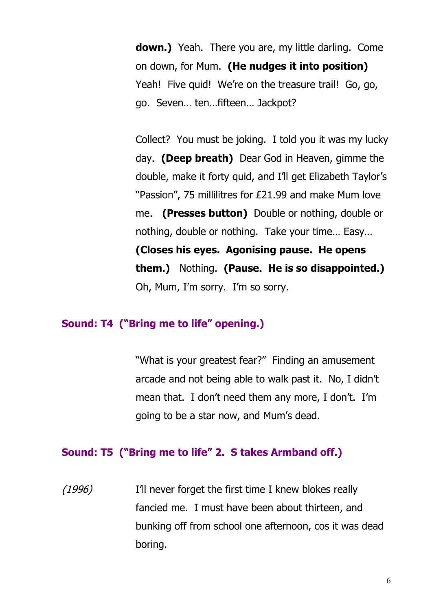**down.)** Yeah. There you are, my little darling. Come on down, for Mum. **(He nudges it into position)** Yeah! Five quid! We're on the treasure trail! Go, go, go. Seven… ten…fifteen… Jackpot?

Collect? You must be joking. I told you it was my lucky day. **(Deep breath)** Dear God in Heaven, gimme the double, make it forty quid, and I'll get Elizabeth Taylor's "Passion", 75 millilitres for £21.99 and make Mum love me. **(Presses button)** Double or nothing, double or nothing, double or nothing. Take your time… Easy… **(Closes his eyes. Agonising pause. He opens them.)** Nothing. **(Pause. He is so disappointed.)**  Oh, Mum, I'm sorry. I'm so sorry.

# **Sound: T4 ("Bring me to life" opening.)**

"What is your greatest fear?" Finding an amusement arcade and not being able to walk past it. No, I didn't mean that. I don't need them any more, I don't. I'm going to be a star now, and Mum's dead.

# **Sound: T5 ("Bring me to life" 2. S takes Armband off.)**

(1996) I'll never forget the first time I knew blokes really fancied me. I must have been about thirteen, and bunking off from school one afternoon, cos it was dead boring.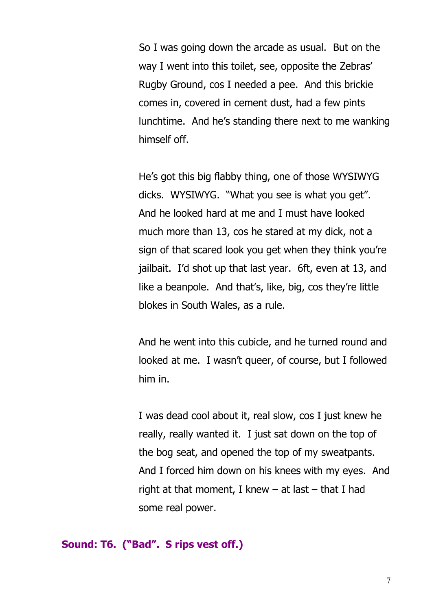So I was going down the arcade as usual. But on the way I went into this toilet, see, opposite the Zebras' Rugby Ground, cos I needed a pee. And this brickie comes in, covered in cement dust, had a few pints lunchtime. And he's standing there next to me wanking himself off.

He's got this big flabby thing, one of those WYSIWYG dicks. WYSIWYG. "What you see is what you get". And he looked hard at me and I must have looked much more than 13, cos he stared at my dick, not a sign of that scared look you get when they think you're jailbait. I'd shot up that last year. 6ft, even at 13, and like a beanpole. And that's, like, big, cos they're little blokes in South Wales, as a rule.

And he went into this cubicle, and he turned round and looked at me. I wasn't queer, of course, but I followed him in.

I was dead cool about it, real slow, cos I just knew he really, really wanted it. I just sat down on the top of the bog seat, and opened the top of my sweatpants. And I forced him down on his knees with my eyes. And right at that moment, I knew  $-$  at last  $-$  that I had some real power.

**Sound: T6. ("Bad". S rips vest off.)**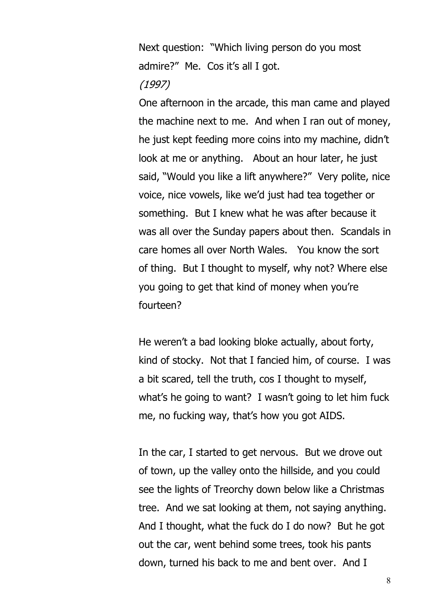Next question: "Which living person do you most admire?" Me. Cos it's all I got.

# (1997)

One afternoon in the arcade, this man came and played the machine next to me. And when I ran out of money, he just kept feeding more coins into my machine, didn't look at me or anything. About an hour later, he just said, "Would you like a lift anywhere?" Very polite, nice voice, nice vowels, like we'd just had tea together or something. But I knew what he was after because it was all over the Sunday papers about then. Scandals in care homes all over North Wales. You know the sort of thing. But I thought to myself, why not? Where else you going to get that kind of money when you're fourteen?

He weren't a bad looking bloke actually, about forty, kind of stocky. Not that I fancied him, of course. I was a bit scared, tell the truth, cos I thought to myself, what's he going to want? I wasn't going to let him fuck me, no fucking way, that's how you got AIDS.

In the car, I started to get nervous. But we drove out of town, up the valley onto the hillside, and you could see the lights of Treorchy down below like a Christmas tree. And we sat looking at them, not saying anything. And I thought, what the fuck do I do now? But he got out the car, went behind some trees, took his pants down, turned his back to me and bent over. And I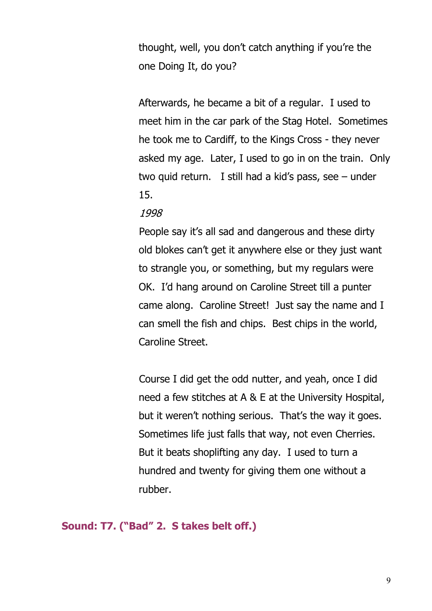thought, well, you don't catch anything if you're the one Doing It, do you?

Afterwards, he became a bit of a regular. I used to meet him in the car park of the Stag Hotel. Sometimes he took me to Cardiff, to the Kings Cross - they never asked my age. Later, I used to go in on the train. Only two quid return. I still had a kid's pass, see – under 15.

#### 1998

People say it's all sad and dangerous and these dirty old blokes can't get it anywhere else or they just want to strangle you, or something, but my regulars were OK. I'd hang around on Caroline Street till a punter came along. Caroline Street! Just say the name and I can smell the fish and chips. Best chips in the world, Caroline Street.

Course I did get the odd nutter, and yeah, once I did need a few stitches at A & E at the University Hospital, but it weren't nothing serious. That's the way it goes. Sometimes life just falls that way, not even Cherries. But it beats shoplifting any day. I used to turn a hundred and twenty for giving them one without a rubber.

#### **Sound: T7. ("Bad" 2. S takes belt off.)**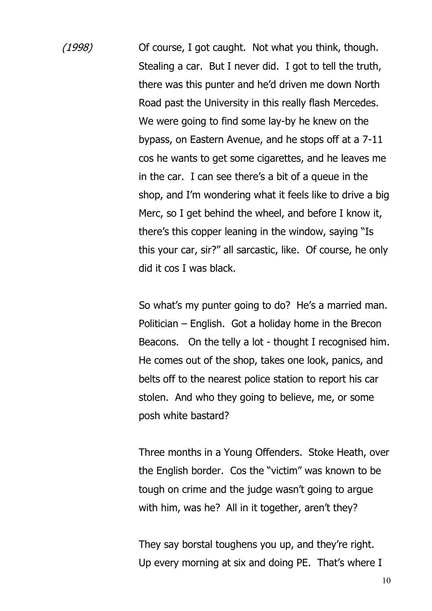(1998) Of course, I got caught. Not what you think, though. Stealing a car. But I never did. I got to tell the truth, there was this punter and he'd driven me down North Road past the University in this really flash Mercedes. We were going to find some lay-by he knew on the bypass, on Eastern Avenue, and he stops off at a 7-11 cos he wants to get some cigarettes, and he leaves me in the car. I can see there's a bit of a queue in the shop, and I'm wondering what it feels like to drive a big Merc, so I get behind the wheel, and before I know it, there's this copper leaning in the window, saying "Is this your car, sir?" all sarcastic, like. Of course, he only did it cos I was black.

> So what's my punter going to do? He's a married man. Politician – English. Got a holiday home in the Brecon Beacons. On the telly a lot - thought I recognised him. He comes out of the shop, takes one look, panics, and belts off to the nearest police station to report his car stolen. And who they going to believe, me, or some posh white bastard?

> Three months in a Young Offenders. Stoke Heath, over the English border. Cos the "victim" was known to be tough on crime and the judge wasn't going to argue with him, was he? All in it together, aren't they?

They say borstal toughens you up, and they're right. Up every morning at six and doing PE. That's where I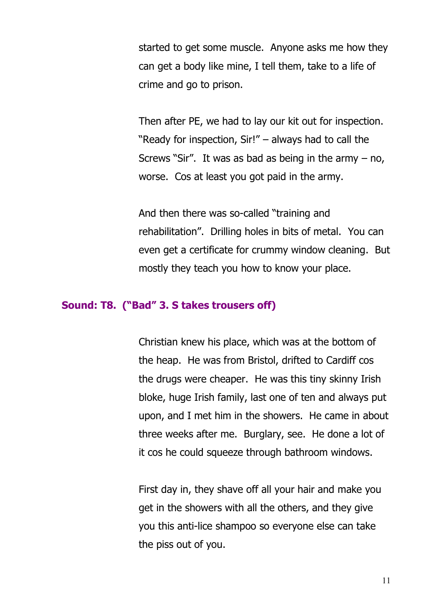started to get some muscle. Anyone asks me how they can get a body like mine, I tell them, take to a life of crime and go to prison.

Then after PE, we had to lay our kit out for inspection. "Ready for inspection, Sir!" – always had to call the Screws "Sir". It was as bad as being in the army  $-$  no, worse. Cos at least you got paid in the army.

And then there was so-called "training and rehabilitation". Drilling holes in bits of metal. You can even get a certificate for crummy window cleaning. But mostly they teach you how to know your place.

# **Sound: T8. ("Bad" 3. S takes trousers off)**

Christian knew his place, which was at the bottom of the heap. He was from Bristol, drifted to Cardiff cos the drugs were cheaper. He was this tiny skinny Irish bloke, huge Irish family, last one of ten and always put upon, and I met him in the showers. He came in about three weeks after me. Burglary, see. He done a lot of it cos he could squeeze through bathroom windows.

First day in, they shave off all your hair and make you get in the showers with all the others, and they give you this anti-lice shampoo so everyone else can take the piss out of you.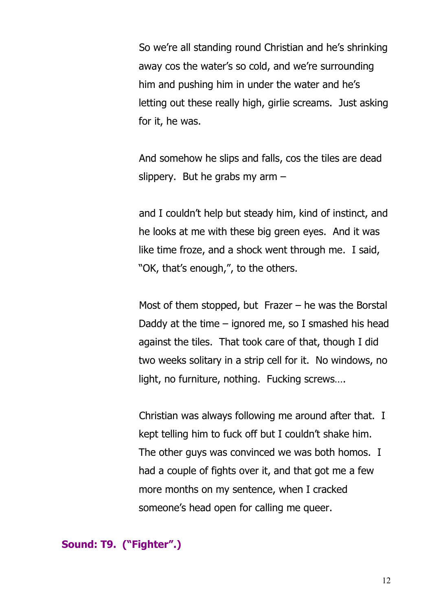So we're all standing round Christian and he's shrinking away cos the water's so cold, and we're surrounding him and pushing him in under the water and he's letting out these really high, girlie screams. Just asking for it, he was.

And somehow he slips and falls, cos the tiles are dead slippery. But he grabs my arm  $-$ 

and I couldn't help but steady him, kind of instinct, and he looks at me with these big green eyes. And it was like time froze, and a shock went through me. I said, "OK, that's enough,", to the others.

Most of them stopped, but Frazer – he was the Borstal Daddy at the time  $-$  ignored me, so I smashed his head against the tiles. That took care of that, though I did two weeks solitary in a strip cell for it. No windows, no light, no furniture, nothing. Fucking screws….

Christian was always following me around after that. I kept telling him to fuck off but I couldn't shake him. The other guys was convinced we was both homos. I had a couple of fights over it, and that got me a few more months on my sentence, when I cracked someone's head open for calling me queer.

# **Sound: T9. ("Fighter".)**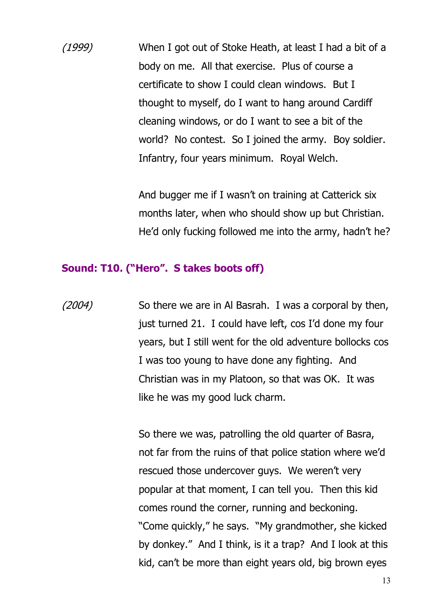(1999) When I got out of Stoke Heath, at least I had a bit of a body on me. All that exercise. Plus of course a certificate to show I could clean windows. But I thought to myself, do I want to hang around Cardiff cleaning windows, or do I want to see a bit of the world? No contest. So I joined the army. Boy soldier. Infantry, four years minimum. Royal Welch.

> And bugger me if I wasn't on training at Catterick six months later, when who should show up but Christian. He'd only fucking followed me into the army, hadn't he?

# **Sound: T10. ("Hero". S takes boots off)**

(2004) So there we are in Al Basrah. I was a corporal by then, just turned 21. I could have left, cos I'd done my four years, but I still went for the old adventure bollocks cos I was too young to have done any fighting. And Christian was in my Platoon, so that was OK. It was like he was my good luck charm.

> So there we was, patrolling the old quarter of Basra, not far from the ruins of that police station where we'd rescued those undercover guys. We weren't very popular at that moment, I can tell you. Then this kid comes round the corner, running and beckoning. "Come quickly," he says. "My grandmother, she kicked by donkey." And I think, is it a trap? And I look at this kid, can't be more than eight years old, big brown eyes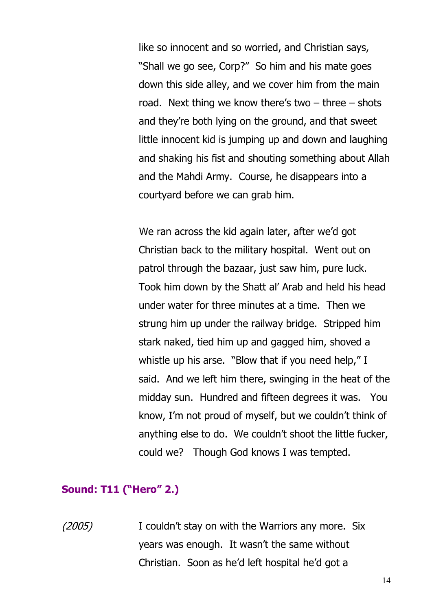like so innocent and so worried, and Christian says, "Shall we go see, Corp?" So him and his mate goes down this side alley, and we cover him from the main road. Next thing we know there's two  $-$  three  $-$  shots and they're both lying on the ground, and that sweet little innocent kid is jumping up and down and laughing and shaking his fist and shouting something about Allah and the Mahdi Army. Course, he disappears into a courtyard before we can grab him.

We ran across the kid again later, after we'd got Christian back to the military hospital. Went out on patrol through the bazaar, just saw him, pure luck. Took him down by the Shatt al' Arab and held his head under water for three minutes at a time. Then we strung him up under the railway bridge. Stripped him stark naked, tied him up and gagged him, shoved a whistle up his arse. "Blow that if you need help," I said. And we left him there, swinging in the heat of the midday sun. Hundred and fifteen degrees it was. You know, I'm not proud of myself, but we couldn't think of anything else to do. We couldn't shoot the little fucker, could we? Though God knows I was tempted.

# **Sound: T11 ("Hero" 2.)**

(2005) I couldn't stay on with the Warriors any more. Six years was enough. It wasn't the same without Christian. Soon as he'd left hospital he'd got a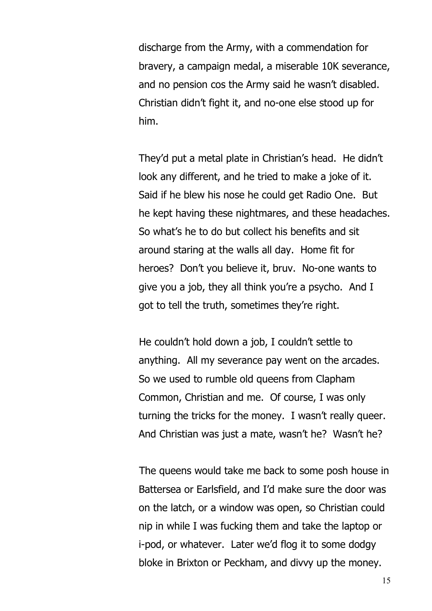discharge from the Army, with a commendation for bravery, a campaign medal, a miserable 10K severance, and no pension cos the Army said he wasn't disabled. Christian didn't fight it, and no-one else stood up for him.

They'd put a metal plate in Christian's head. He didn't look any different, and he tried to make a joke of it. Said if he blew his nose he could get Radio One. But he kept having these nightmares, and these headaches. So what's he to do but collect his benefits and sit around staring at the walls all day. Home fit for heroes? Don't you believe it, bruv. No-one wants to give you a job, they all think you're a psycho. And I got to tell the truth, sometimes they're right.

He couldn't hold down a job, I couldn't settle to anything. All my severance pay went on the arcades. So we used to rumble old queens from Clapham Common, Christian and me. Of course, I was only turning the tricks for the money. I wasn't really queer. And Christian was just a mate, wasn't he? Wasn't he?

The queens would take me back to some posh house in Battersea or Earlsfield, and I'd make sure the door was on the latch, or a window was open, so Christian could nip in while I was fucking them and take the laptop or i-pod, or whatever. Later we'd flog it to some dodgy bloke in Brixton or Peckham, and divvy up the money.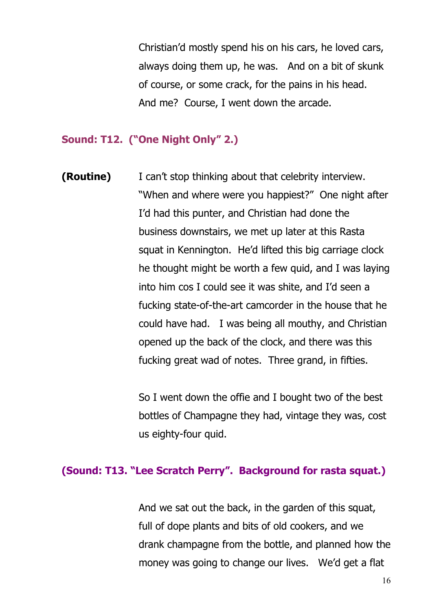Christian'd mostly spend his on his cars, he loved cars, always doing them up, he was. And on a bit of skunk of course, or some crack, for the pains in his head. And me? Course, I went down the arcade.

# **Sound: T12. ("One Night Only" 2.)**

**(Routine)** I can't stop thinking about that celebrity interview. "When and where were you happiest?" One night after I'd had this punter, and Christian had done the business downstairs, we met up later at this Rasta squat in Kennington. He'd lifted this big carriage clock he thought might be worth a few quid, and I was laying into him cos I could see it was shite, and I'd seen a fucking state-of-the-art camcorder in the house that he could have had. I was being all mouthy, and Christian opened up the back of the clock, and there was this fucking great wad of notes. Three grand, in fifties.

> So I went down the offie and I bought two of the best bottles of Champagne they had, vintage they was, cost us eighty-four quid.

## **(Sound: T13. "Lee Scratch Perry". Background for rasta squat.)**

And we sat out the back, in the garden of this squat, full of dope plants and bits of old cookers, and we drank champagne from the bottle, and planned how the money was going to change our lives. We'd get a flat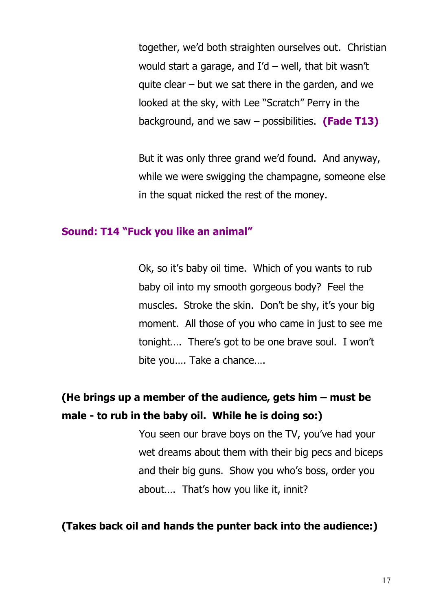together, we'd both straighten ourselves out. Christian would start a garage, and  $I'd$  – well, that bit wasn't quite clear – but we sat there in the garden, and we looked at the sky, with Lee "Scratch" Perry in the background, and we saw – possibilities. **(Fade T13)**

But it was only three grand we'd found. And anyway, while we were swigging the champagne, someone else in the squat nicked the rest of the money.

#### **Sound: T14 "Fuck you like an animal"**

Ok, so it's baby oil time. Which of you wants to rub baby oil into my smooth gorgeous body? Feel the muscles. Stroke the skin. Don't be shy, it's your big moment. All those of you who came in just to see me tonight…. There's got to be one brave soul. I won't bite you…. Take a chance….

# **(He brings up a member of the audience, gets him – must be male - to rub in the baby oil. While he is doing so:)**

You seen our brave boys on the TV, you've had your wet dreams about them with their big pecs and biceps and their big guns. Show you who's boss, order you about…. That's how you like it, innit?

# **(Takes back oil and hands the punter back into the audience:)**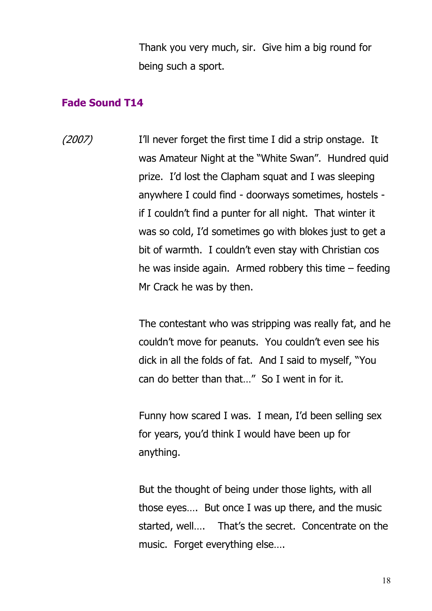Thank you very much, sir. Give him a big round for being such a sport.

### **Fade Sound T14**

(2007) I'll never forget the first time I did a strip onstage. It was Amateur Night at the "White Swan". Hundred quid prize. I'd lost the Clapham squat and I was sleeping anywhere I could find - doorways sometimes, hostels if I couldn't find a punter for all night. That winter it was so cold, I'd sometimes go with blokes just to get a bit of warmth. I couldn't even stay with Christian cos he was inside again. Armed robbery this time – feeding Mr Crack he was by then.

> The contestant who was stripping was really fat, and he couldn't move for peanuts. You couldn't even see his dick in all the folds of fat. And I said to myself, "You can do better than that…" So I went in for it.

Funny how scared I was. I mean, I'd been selling sex for years, you'd think I would have been up for anything.

But the thought of being under those lights, with all those eyes…. But once I was up there, and the music started, well…. That's the secret. Concentrate on the music. Forget everything else….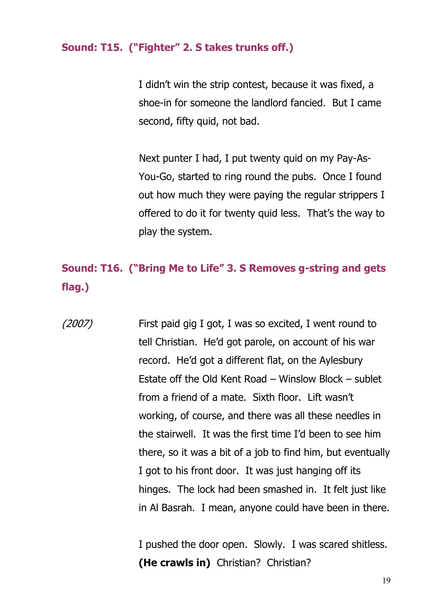# **Sound: T15. ("Fighter" 2. S takes trunks off.)**

I didn't win the strip contest, because it was fixed, a shoe-in for someone the landlord fancied. But I came second, fifty quid, not bad.

Next punter I had, I put twenty quid on my Pay-As-You-Go, started to ring round the pubs. Once I found out how much they were paying the regular strippers I offered to do it for twenty quid less. That's the way to play the system.

# **Sound: T16. ("Bring Me to Life" 3. S Removes g-string and gets flag.)**

(2007) First paid gig I got, I was so excited, I went round to tell Christian. He'd got parole, on account of his war record. He'd got a different flat, on the Aylesbury Estate off the Old Kent Road – Winslow Block – sublet from a friend of a mate. Sixth floor. Lift wasn't working, of course, and there was all these needles in the stairwell. It was the first time I'd been to see him there, so it was a bit of a job to find him, but eventually I got to his front door. It was just hanging off its hinges. The lock had been smashed in. It felt just like in Al Basrah. I mean, anyone could have been in there.

> I pushed the door open. Slowly. I was scared shitless. **(He crawls in)** Christian? Christian?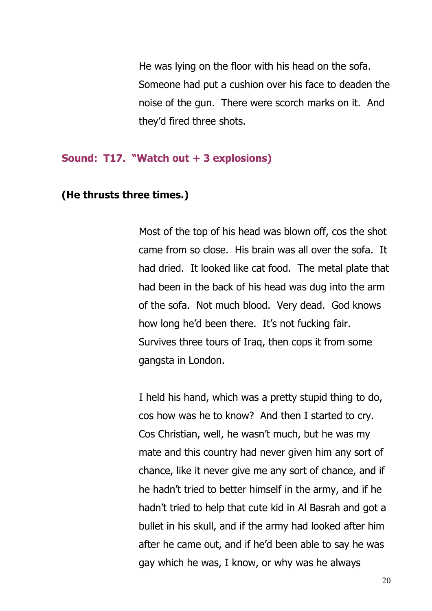He was lying on the floor with his head on the sofa. Someone had put a cushion over his face to deaden the noise of the gun. There were scorch marks on it. And they'd fired three shots.

# **Sound: T17. "Watch out + 3 explosions)**

# **(He thrusts three times.)**

Most of the top of his head was blown off, cos the shot came from so close. His brain was all over the sofa. It had dried. It looked like cat food. The metal plate that had been in the back of his head was dug into the arm of the sofa. Not much blood. Very dead. God knows how long he'd been there. It's not fucking fair. Survives three tours of Iraq, then cops it from some gangsta in London.

I held his hand, which was a pretty stupid thing to do, cos how was he to know? And then I started to cry. Cos Christian, well, he wasn't much, but he was my mate and this country had never given him any sort of chance, like it never give me any sort of chance, and if he hadn't tried to better himself in the army, and if he hadn't tried to help that cute kid in Al Basrah and got a bullet in his skull, and if the army had looked after him after he came out, and if he'd been able to say he was gay which he was, I know, or why was he always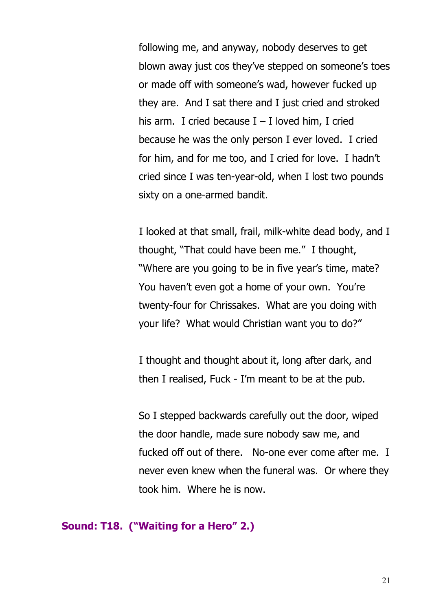following me, and anyway, nobody deserves to get blown away just cos they've stepped on someone's toes or made off with someone's wad, however fucked up they are. And I sat there and I just cried and stroked his arm. I cried because  $I - I$  loved him, I cried because he was the only person I ever loved. I cried for him, and for me too, and I cried for love. I hadn't cried since I was ten-year-old, when I lost two pounds sixty on a one-armed bandit.

I looked at that small, frail, milk-white dead body, and I thought, "That could have been me." I thought, "Where are you going to be in five year's time, mate? You haven't even got a home of your own. You're twenty-four for Chrissakes. What are you doing with your life? What would Christian want you to do?"

I thought and thought about it, long after dark, and then I realised, Fuck - I'm meant to be at the pub.

So I stepped backwards carefully out the door, wiped the door handle, made sure nobody saw me, and fucked off out of there. No-one ever come after me. I never even knew when the funeral was. Or where they took him. Where he is now.

# **Sound: T18. ("Waiting for a Hero" 2.)**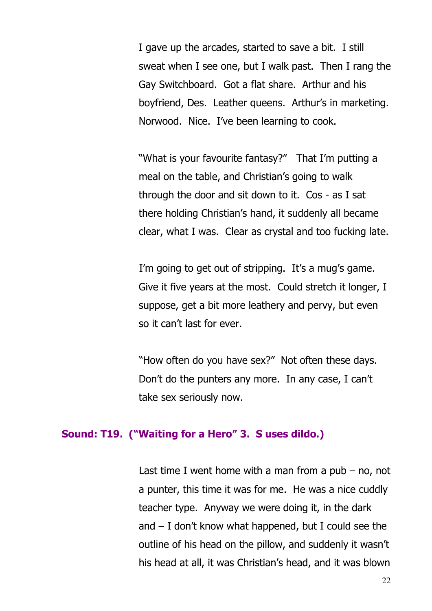I gave up the arcades, started to save a bit. I still sweat when I see one, but I walk past. Then I rang the Gay Switchboard. Got a flat share. Arthur and his boyfriend, Des. Leather queens. Arthur's in marketing. Norwood. Nice. I've been learning to cook.

"What is your favourite fantasy?" That I'm putting a meal on the table, and Christian's going to walk through the door and sit down to it. Cos - as I sat there holding Christian's hand, it suddenly all became clear, what I was. Clear as crystal and too fucking late.

I'm going to get out of stripping. It's a mug's game. Give it five years at the most. Could stretch it longer, I suppose, get a bit more leathery and pervy, but even so it can't last for ever.

"How often do you have sex?" Not often these days. Don't do the punters any more. In any case, I can't take sex seriously now.

# **Sound: T19. ("Waiting for a Hero" 3. S uses dildo.)**

Last time I went home with a man from a  $pub - no$ , not a punter, this time it was for me. He was a nice cuddly teacher type. Anyway we were doing it, in the dark and  $-$  I don't know what happened, but I could see the outline of his head on the pillow, and suddenly it wasn't his head at all, it was Christian's head, and it was blown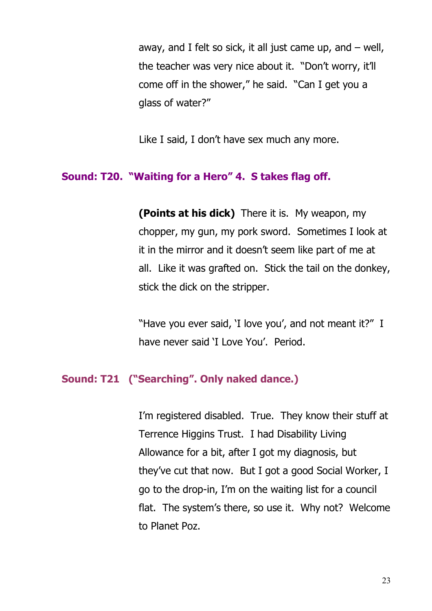away, and I felt so sick, it all just came up, and  $-$  well, the teacher was very nice about it. "Don't worry, it'll come off in the shower," he said. "Can I get you a glass of water?"

Like I said, I don't have sex much any more.

#### **Sound: T20. "Waiting for a Hero" 4. S takes flag off.**

**(Points at his dick)** There it is. My weapon, my chopper, my gun, my pork sword. Sometimes I look at it in the mirror and it doesn't seem like part of me at all. Like it was grafted on. Stick the tail on the donkey, stick the dick on the stripper.

"Have you ever said, 'I love you', and not meant it?" I have never said 'I Love You'. Period.

# **Sound: T21 ("Searching". Only naked dance.)**

I'm registered disabled. True. They know their stuff at Terrence Higgins Trust. I had Disability Living Allowance for a bit, after I got my diagnosis, but they've cut that now. But I got a good Social Worker, I go to the drop-in, I'm on the waiting list for a council flat. The system's there, so use it. Why not? Welcome to Planet Poz.